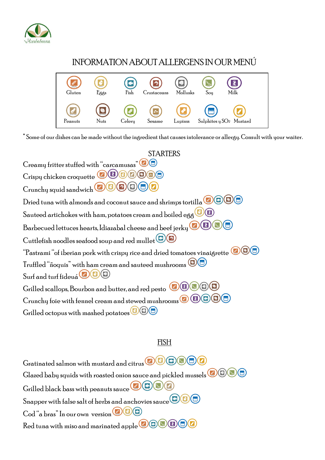

# INFORMATION ABOUT ALLERGENS IN OUR MENIT



\*Some of our dishes can be made without the ingredient that causes intolerance or allergy. Consult with your waiter.

**STARTERS** Creamy fritter stuffed with "carcamusas" Crispy chicken croquette **@ B C C C C**  $C$ runchu squid sandwich Dried tuna with almonds and coconut sauce and shrimps tortilla  $\bigcirc \bigcirc \bigcirc \bigcirc$ Sauteed artichokes with ham, potatoes cream and boiled egg  $\bigcirc$ Barbecued lettuces hearts, Idiazabal cheese and beef jerky **OD** Cuttlefish noodles seafood soup and red mullet  $\bigcirc$ "Pastrami "of iberian pork with crispy rice and dried tomatoes vinaigrette  $\bigcirc \mathbf{O} \bigcirc$ Truffled "ñoquis" with ham cream and sauteed mushrooms Surf and turf fideua (COC) Grilled scallops, Bourbon and butter, and red pesto **OD** Crunchy foie with fennel cream and stewed mushrooms  $\bigcirc$  (B) Grilled octopus with mashed potatoes  $\bigcirc$   $\bigcirc$ 

## <u>FISH</u>

Gratinated salmon with mustard and citrus **OBOOO** Glazed baby squids with roasted onion sauce and pickled mussels  $\left( \blacksquare \right)$  $\left(\mathbb{Z}\right)\left(\mathbb{Z}\right)$ Grilled black bass with peanuts sauce (C) Snapper with false salt of herbs and anchovies sauce  $\left| \bullet \right|$ Cod "a bras" In our own version (a) (a) (a) Red tuna with miso and marinated apple **OCOD**